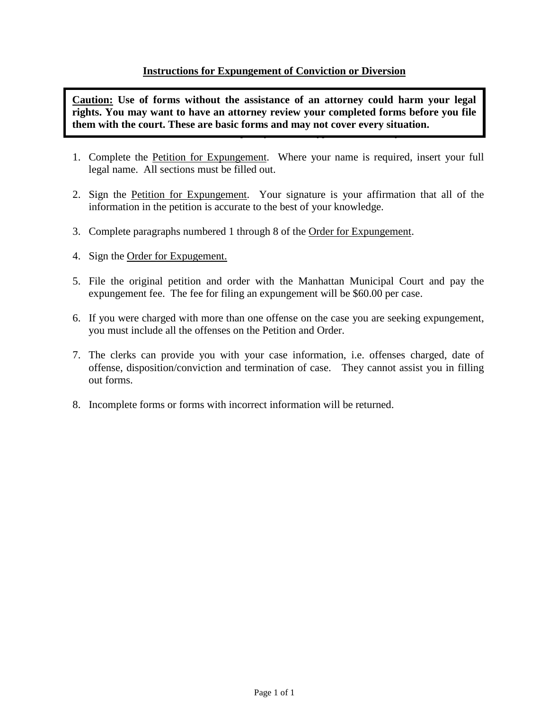### **Instructions for Expungement of Conviction or Diversion**

*Read Directions Completely – Please Type or Print Neatly*  **Caution: Use of forms without the assistance of an attorney could harm your legal rights. You may want to have an attorney review your completed forms before you file them with the court. These are basic forms and may not cover every situation.**

- 1. Complete the Petition for Expungement. Where your name is required, insert your full legal name. All sections must be filled out.
- 2. Sign the Petition for Expungement. Your signature is your affirmation that all of the information in the petition is accurate to the best of your knowledge.
- 3. Complete paragraphs numbered 1 through 8 of the Order for Expungement.
- 4. Sign the Order for Expugement.
- 5. File the original petition and order with the Manhattan Municipal Court and pay the expungement fee. The fee for filing an expungement will be \$60.00 per case.
- 6. If you were charged with more than one offense on the case you are seeking expungement, you must include all the offenses on the Petition and Order.
- 7. The clerks can provide you with your case information, i.e. offenses charged, date of offense, disposition/conviction and termination of case. They cannot assist you in filling out forms.
- 8. Incomplete forms or forms with incorrect information will be returned.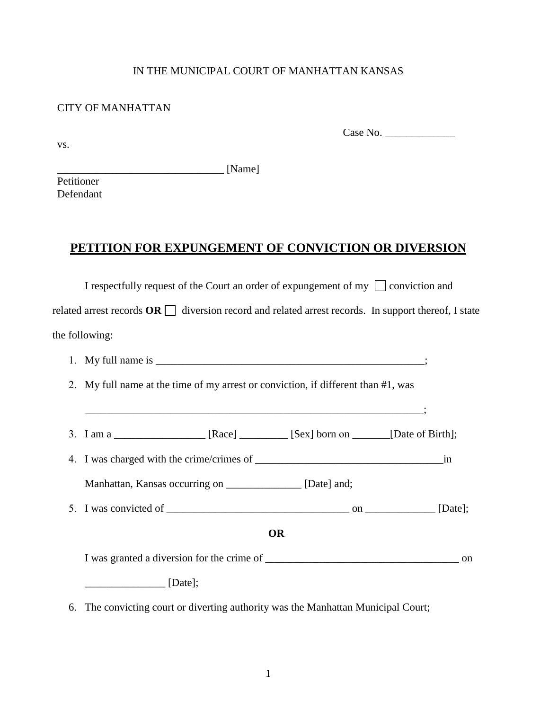### IN THE MUNICIPAL COURT OF MANHATTAN KANSAS

### CITY OF MANHATTAN

vs.

Case No. \_\_\_\_\_\_\_\_\_\_\_\_\_

 $[Name]$ 

Petitioner Defendant

## **PETITION FOR EXPUNGEMENT OF CONVICTION OR DIVERSION**

I respectfully request of the Court an order of expungement of my  $\Box$  conviction and

related arrest records  $\overline{OR}$  diversion record and related arrest records. In support thereof, I state the following:

- 1. My full name is  $\cdot$
- 2. My full name at the time of my arrest or conviction, if different than #1, was
- 3. I am a  $[Re$  [Race]  $[Sec]$  [Sex] born on  $[Date \text{ of Birth}];$

 $\mathcal{L}_\mathcal{L} = \{ \mathcal{L}_\mathcal{L} = \{ \mathcal{L}_\mathcal{L} = \{ \mathcal{L}_\mathcal{L} = \{ \mathcal{L}_\mathcal{L} = \{ \mathcal{L}_\mathcal{L} = \{ \mathcal{L}_\mathcal{L} = \{ \mathcal{L}_\mathcal{L} = \{ \mathcal{L}_\mathcal{L} = \{ \mathcal{L}_\mathcal{L} = \{ \mathcal{L}_\mathcal{L} = \{ \mathcal{L}_\mathcal{L} = \{ \mathcal{L}_\mathcal{L} = \{ \mathcal{L}_\mathcal{L} = \{ \mathcal{L}_\mathcal{$ 

4. I was charged with the crime/crimes of \_\_\_\_\_\_\_\_\_\_\_\_\_\_\_\_\_\_\_\_\_\_\_\_\_\_\_\_\_\_\_\_\_\_\_in

Manhattan, Kansas occurring on \_\_\_\_\_\_\_\_\_\_\_\_\_\_\_ [Date] and;

5. I was convicted of  $\Box$ 

**OR**

I was granted a diversion for the crime of  $\Box$ 

 $\Box$  [Date];

6. The convicting court or diverting authority was the Manhattan Municipal Court;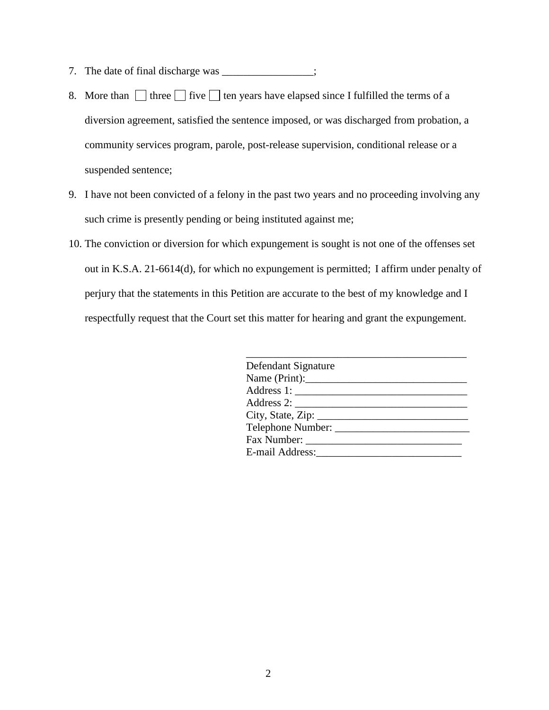- 7. The date of final discharge was \_\_\_\_\_\_\_\_\_\_\_\_\_\_;
- 8. More than  $\Box$  three  $\Box$  five  $\Box$  ten years have elapsed since I fulfilled the terms of a diversion agreement, satisfied the sentence imposed, or was discharged from probation, a community services program, parole, post-release supervision, conditional release or a suspended sentence;
- 9. I have not been convicted of a felony in the past two years and no proceeding involving any such crime is presently pending or being instituted against me;
- 10. The conviction or diversion for which expungement is sought is not one of the offenses set out in K.S.A. 21-6614(d), for which no expungement is permitted; I affirm under penalty of perjury that the statements in this Petition are accurate to the best of my knowledge and I respectfully request that the Court set this matter for hearing and grant the expungement.

| Defendant Signature             |  |
|---------------------------------|--|
|                                 |  |
|                                 |  |
|                                 |  |
| City, State, Zip: $\frac{1}{2}$ |  |
|                                 |  |
|                                 |  |
|                                 |  |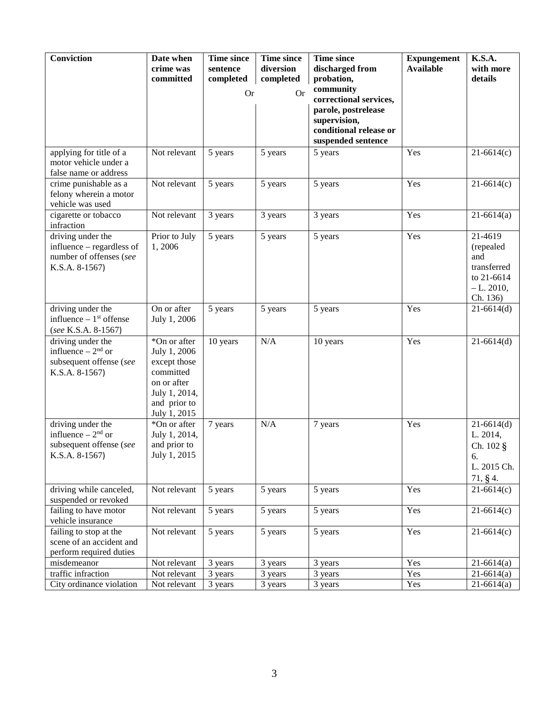| Conviction                                                                                  | Date when<br>crime was<br>committed                                                                                       | <b>Time since</b><br>sentence<br>completed | <b>Time since</b><br>diversion<br>completed | <b>Time since</b><br>discharged from<br>probation,           | <b>Expungement</b><br><b>Available</b> | K.S.A.<br>with more<br>details                                                      |
|---------------------------------------------------------------------------------------------|---------------------------------------------------------------------------------------------------------------------------|--------------------------------------------|---------------------------------------------|--------------------------------------------------------------|----------------------------------------|-------------------------------------------------------------------------------------|
|                                                                                             |                                                                                                                           | <b>Or</b><br><b>Or</b>                     |                                             | community<br>correctional services,<br>parole, postrelease   |                                        |                                                                                     |
|                                                                                             |                                                                                                                           |                                            |                                             | supervision,<br>conditional release or<br>suspended sentence |                                        |                                                                                     |
| applying for title of a<br>motor vehicle under a<br>false name or address                   | Not relevant                                                                                                              | 5 years                                    | 5 years                                     | 5 years                                                      | Yes                                    | $21-6614(c)$                                                                        |
| crime punishable as a<br>felony wherein a motor<br>vehicle was used                         | Not relevant                                                                                                              | 5 years                                    | 5 years                                     | 5 years                                                      | Yes                                    | $21-6614(c)$                                                                        |
| cigarette or tobacco<br>infraction                                                          | Not relevant                                                                                                              | 3 years                                    | 3 years                                     | 3 years                                                      | Yes                                    | $21-6614(a)$                                                                        |
| driving under the<br>influence – regardless of<br>number of offenses (see<br>K.S.A. 8-1567) | Prior to July<br>1,2006                                                                                                   | 5 years                                    | 5 years                                     | 5 years                                                      | Yes                                    | 21-4619<br>(repealed<br>and<br>transferred<br>to 21-6614<br>$-L. 2010,$<br>Ch. 136) |
| driving under the<br>influence $-1st$ offense<br>(see K.S.A. 8-1567)                        | On or after<br>July 1, 2006                                                                                               | 5 years                                    | 5 years                                     | 5 years                                                      | Yes                                    | $21-6614(d)$                                                                        |
| driving under the<br>influence $-2nd$ or<br>subsequent offense (see<br>K.S.A. 8-1567)       | *On or after<br>July 1, 2006<br>except those<br>committed<br>on or after<br>July 1, 2014,<br>and prior to<br>July 1, 2015 | 10 years                                   | N/A                                         | 10 years                                                     | Yes                                    | $21-6614(d)$                                                                        |
| driving under the<br>influence $-2nd$ or<br>subsequent offense (see<br>K.S.A. 8-1567)       | *On or after<br>July 1, 2014,<br>and prior to<br>July 1, 2015                                                             | 7 years                                    | N/A                                         | 7 years                                                      | Yes                                    | $21-6614(d)$<br>L. 2014,<br>Ch. 102 §<br>6.<br>L. 2015 Ch.<br>71, § 4.              |
| driving while canceled,<br>suspended or revoked                                             | Not relevant                                                                                                              | 5 years                                    | 5 years                                     | 5 years                                                      | Yes                                    | $\overline{21} - 6614(c)$                                                           |
| failing to have motor<br>vehicle insurance                                                  | Not relevant                                                                                                              | 5 years                                    | 5 years                                     | 5 years                                                      | Yes                                    | $\overline{21} - 6614(c)$                                                           |
| failing to stop at the<br>scene of an accident and<br>perform required duties               | Not relevant                                                                                                              | 5 years                                    | 5 years                                     | 5 years                                                      | Yes                                    | $21-6614(c)$                                                                        |
| misdemeanor                                                                                 | Not relevant                                                                                                              | 3 years                                    | 3 years                                     | 3 years                                                      | Yes                                    | $21-6614(a)$                                                                        |
| traffic infraction                                                                          | Not relevant                                                                                                              | 3 years                                    | 3 years                                     | 3 years                                                      | Yes                                    | $\overline{2}1 - 6614$ (a)                                                          |
| City ordinance violation                                                                    | Not relevant                                                                                                              | 3 years                                    | 3 years                                     | 3 years                                                      | Yes                                    | $21-6614(a)$                                                                        |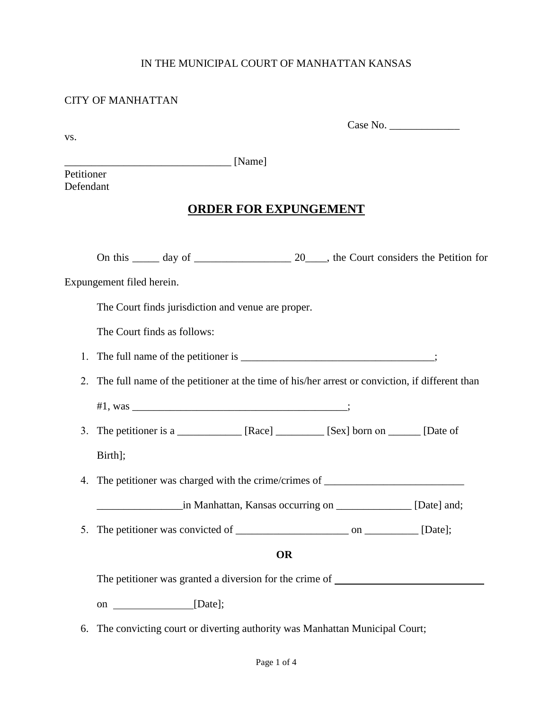### IN THE MUNICIPAL COURT OF MANHATTAN KANSAS

### CITY OF MANHATTAN

Case No. \_\_\_\_\_\_\_\_\_\_\_\_\_

vs.

\_\_\_\_\_\_\_\_\_\_\_\_\_\_\_\_\_\_\_\_\_\_\_\_\_\_\_\_\_\_\_ [Name]

Petitioner Defendant

# **ORDER FOR EXPUNGEMENT**

|    | Expungement filed herein.   |                                                    |           |                                                                                                |  |
|----|-----------------------------|----------------------------------------------------|-----------|------------------------------------------------------------------------------------------------|--|
|    |                             | The Court finds jurisdiction and venue are proper. |           |                                                                                                |  |
|    | The Court finds as follows: |                                                    |           |                                                                                                |  |
| 1. |                             |                                                    |           |                                                                                                |  |
| 2. |                             |                                                    |           | The full name of the petitioner at the time of his/her arrest or conviction, if different than |  |
|    |                             |                                                    |           |                                                                                                |  |
|    |                             |                                                    |           | 3. The petitioner is a ____________ [Race] ________ [Sex] born on _____ [Date of               |  |
|    | Birth];                     |                                                    |           |                                                                                                |  |
| 4. |                             |                                                    |           | The petitioner was charged with the crime/crimes of _____________________________              |  |
|    |                             |                                                    |           | in Manhattan, Kansas occurring on ______________ [Date] and;                                   |  |
| 5. |                             |                                                    |           |                                                                                                |  |
|    |                             |                                                    | <b>OR</b> |                                                                                                |  |
|    |                             |                                                    |           | The petitioner was granted a diversion for the crime of _________________________              |  |
|    |                             | on _______________________[Date];                  |           |                                                                                                |  |
|    |                             |                                                    |           |                                                                                                |  |

6. The convicting court or diverting authority was Manhattan Municipal Court;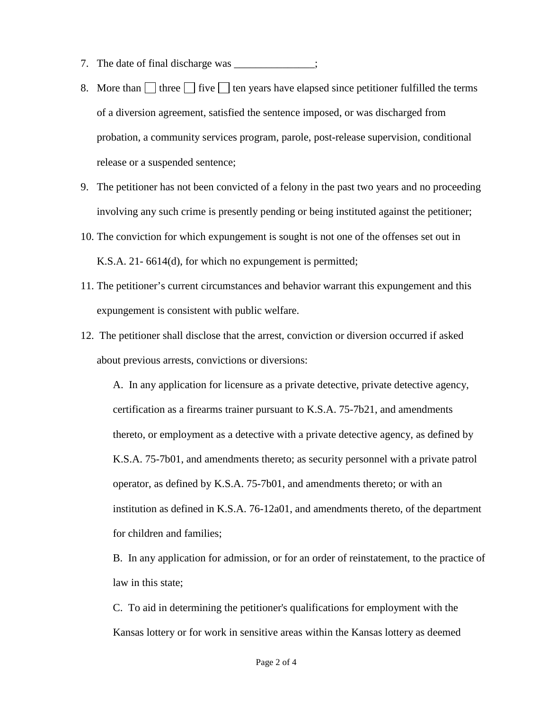- 7. The date of final discharge was \_\_\_\_\_\_\_\_\_\_\_\_;
- 8. More than three five the years have elapsed since petitioner fulfilled the terms of a diversion agreement, satisfied the sentence imposed, or was discharged from probation, a community services program, parole, post-release supervision, conditional release or a suspended sentence;
- 9. The petitioner has not been convicted of a felony in the past two years and no proceeding involving any such crime is presently pending or being instituted against the petitioner;
- 10. The conviction for which expungement is sought is not one of the offenses set out in K.S.A. 21- 6614(d), for which no expungement is permitted;
- 11. The petitioner's current circumstances and behavior warrant this expungement and this expungement is consistent with public welfare.
- 12. The petitioner shall disclose that the arrest, conviction or diversion occurred if asked about previous arrests, convictions or diversions:

A. In any application for licensure as a private detective, private detective agency, certification as a firearms trainer pursuant to K.S.A. 75-7b21, and amendments thereto, or employment as a detective with a private detective agency, as defined by K.S.A. 75-7b01, and amendments thereto; as security personnel with a private patrol operator, as defined by K.S.A. 75-7b01, and amendments thereto; or with an institution as defined in K.S.A. 76-12a01, and amendments thereto, of the department for children and families;

B. In any application for admission, or for an order of reinstatement, to the practice of law in this state;

C. To aid in determining the petitioner's qualifications for employment with the Kansas lottery or for work in sensitive areas within the Kansas lottery as deemed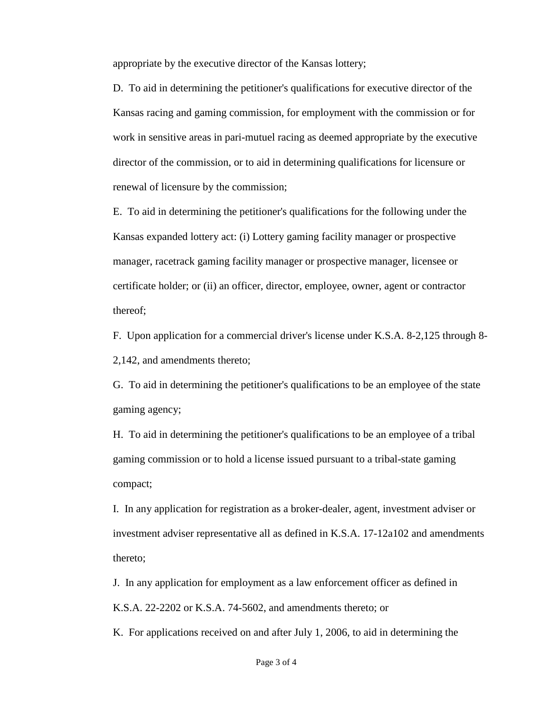appropriate by the executive director of the Kansas lottery;

D. To aid in determining the petitioner's qualifications for executive director of the Kansas racing and gaming commission, for employment with the commission or for work in sensitive areas in pari-mutuel racing as deemed appropriate by the executive director of the commission, or to aid in determining qualifications for licensure or renewal of licensure by the commission;

E. To aid in determining the petitioner's qualifications for the following under the Kansas expanded lottery act: (i) Lottery gaming facility manager or prospective manager, racetrack gaming facility manager or prospective manager, licensee or certificate holder; or (ii) an officer, director, employee, owner, agent or contractor thereof;

F. Upon application for a commercial driver's license under K.S.A. 8-2,125 through 8- 2,142, and amendments thereto;

G. To aid in determining the petitioner's qualifications to be an employee of the state gaming agency;

H. To aid in determining the petitioner's qualifications to be an employee of a tribal gaming commission or to hold a license issued pursuant to a tribal-state gaming compact;

I. In any application for registration as a broker-dealer, agent, investment adviser or investment adviser representative all as defined in K.S.A. 17-12a102 and amendments thereto;

 J. In any application for employment as a law enforcement officer as defined in K.S.A. 22-2202 or K.S.A. 74-5602, and amendments thereto; or

K. For applications received on and after July 1, 2006, to aid in determining the